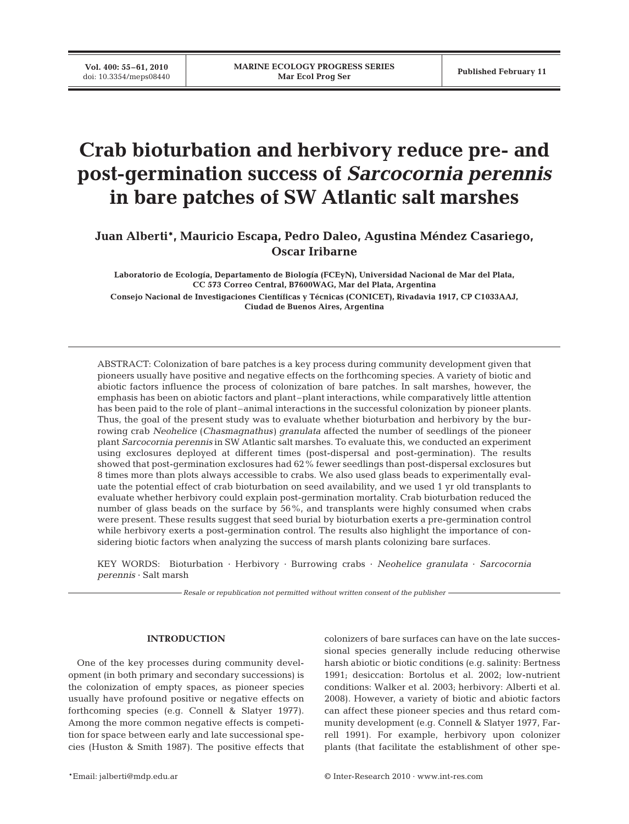**Vol. 400: 55–61, 2010**

# **Crab bioturbation and herbivory reduce pre- and post-germination success of** *Sarcocornia perennis* **in bare patches of SW Atlantic salt marshes**

**Juan Alberti\*, Mauricio Escapa, Pedro Daleo, Agustina Méndez Casariego, Oscar Iribarne**

**Laboratorio de Ecología, Departamento de Biología (FCEyN), Universidad Nacional de Mar del Plata, CC 573 Correo Central, B7600WAG, Mar del Plata, Argentina Consejo Nacional de Investigaciones Científicas y Técnicas (CONICET), Rivadavia 1917, CP C1033AAJ, Ciudad de Buenos Aires, Argentina**

ABSTRACT: Colonization of bare patches is a key process during community development given that pioneers usually have positive and negative effects on the forthcoming species. A variety of biotic and abiotic factors influence the process of colonization of bare patches. In salt marshes, however, the emphasis has been on abiotic factors and plant–plant interactions, while comparatively little attention has been paid to the role of plant–animal interactions in the successful colonization by pioneer plants. Thus, the goal of the present study was to evaluate whether bioturbation and herbivory by the burrowing crab *Neohelice* (*Chasmagnathus) granulata* affected the number of seedlings of the pioneer plant *Sarcocornia perennis* in SW Atlantic salt marshes. To evaluate this, we conducted an experiment using exclosures deployed at different times (post-dispersal and post-germination). The results showed that post-germination exclosures had 62% fewer seedlings than post-dispersal exclosures but 8 times more than plots always accessible to crabs. We also used glass beads to experimentally evaluate the potential effect of crab bioturbation on seed availability, and we used 1 yr old transplants to evaluate whether herbivory could explain post-germination mortality. Crab bioturbation reduced the number of glass beads on the surface by 56%, and transplants were highly consumed when crabs were present. These results suggest that seed burial by bioturbation exerts a pre-germination control while herbivory exerts a post-germination control. The results also highlight the importance of considering biotic factors when analyzing the success of marsh plants colonizing bare surfaces.

KEY WORDS: Bioturbation · Herbivory · Burrowing crabs · *Neohelice granulata* · *Sarcocornia perennis* · Salt marsh

*Resale or republication not permitted without written consent of the publisher*

# **INTRODUCTION**

One of the key processes during community development (in both primary and secondary successions) is the colonization of empty spaces, as pioneer species usually have profound positive or negative effects on forthcoming species (e.g. Connell & Slatyer 1977). Among the more common negative effects is competition for space between early and late successional species (Huston & Smith 1987). The positive effects that colonizers of bare surfaces can have on the late successional species generally include reducing otherwise harsh abiotic or biotic conditions (e.g. salinity: Bertness 1991; desiccation: Bortolus et al. 2002; low-nutrient conditions: Walker et al. 2003; herbivory: Alberti et al. 2008). However, a variety of biotic and abiotic factors can affect these pioneer species and thus retard community development (e.g. Connell & Slatyer 1977, Farrell 1991). For example, herbivory upon colonizer plants (that facilitate the establishment of other spe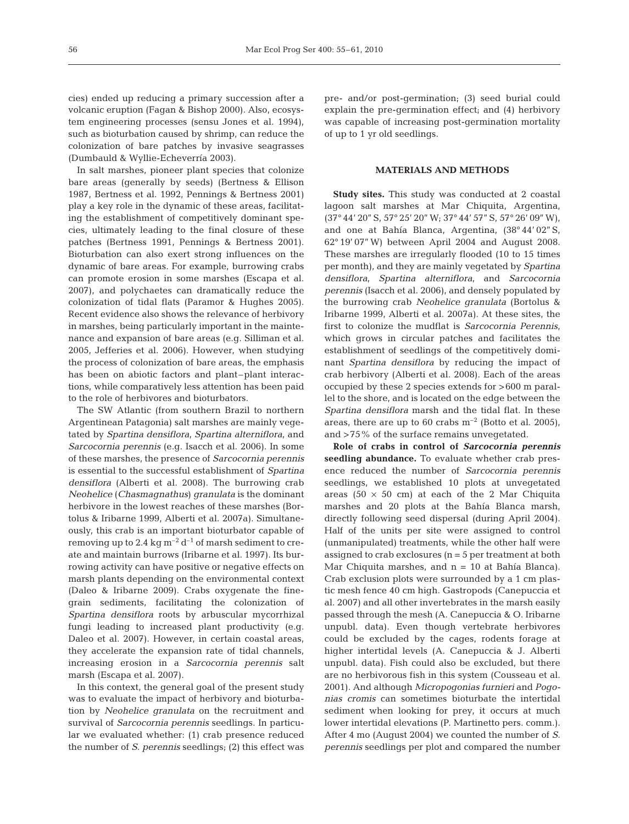cies) ended up reducing a primary succession after a volcanic eruption (Fagan & Bishop 2000). Also, ecosystem engineering processes (sensu Jones et al. 1994), such as bioturbation caused by shrimp, can reduce the colonization of bare patches by invasive seagrasses (Dumbauld & Wyllie-Echeverría 2003).

In salt marshes, pioneer plant species that colonize bare areas (generally by seeds) (Bertness & Ellison 1987, Bertness et al. 1992, Pennings & Bertness 2001) play a key role in the dynamic of these areas, facilitating the establishment of competitively dominant species, ultimately leading to the final closure of these patches (Bertness 1991, Pennings & Bertness 2001). Bioturbation can also exert strong influences on the dynamic of bare areas. For example, burrowing crabs can promote erosion in some marshes (Escapa et al. 2007), and polychaetes can dramatically reduce the colonization of tidal flats (Paramor & Hughes 2005). Recent evidence also shows the relevance of herbivory in marshes, being particularly important in the maintenance and expansion of bare areas (e.g. Silliman et al. 2005, Jefferies et al. 2006). However, when studying the process of colonization of bare areas, the emphasis has been on abiotic factors and plant–plant interactions, while comparatively less attention has been paid to the role of herbivores and bioturbators.

The SW Atlantic (from southern Brazil to northern Argentinean Patagonia) salt marshes are mainly vegetated by *Spartina densiflora*, *Spartina alterniflora*, and *Sarcocornia perennis* (e.g. Isacch et al. 2006). In some of these marshes, the presence of *Sarcocornia perennis* is essential to the successful establishment of *Spartina densiflora* (Alberti et al. 2008). The burrowing crab *Neohelice* (*Chasmagnathus*) *granulata* is the dominant herbivore in the lowest reaches of these marshes (Bortolus & Iribarne 1999, Alberti et al. 2007a). Simultaneously, this crab is an important bioturbator capable of removing up to 2.4 kg  $m^{-2} d^{-1}$  of marsh sediment to create and maintain burrows (Iribarne et al. 1997). Its burrowing activity can have positive or negative effects on marsh plants depending on the environmental context (Daleo & Iribarne 2009). Crabs oxygenate the finegrain sediments, facilitating the colonization of *Spartina densiflora* roots by arbuscular mycorrhizal fungi leading to increased plant productivity (e.g. Daleo et al. 2007). However, in certain coastal areas, they accelerate the expansion rate of tidal channels, increasing erosion in a *Sarcocornia perennis* salt marsh (Escapa et al. 2007).

In this context, the general goal of the present study was to evaluate the impact of herbivory and bioturbation by *Neohelice granulata* on the recruitment and survival of *Sarcocornia perennis* seedlings. In particular we evaluated whether: (1) crab presence reduced the number of *S*. *perennis* seedlings; (2) this effect was

pre- and/or post-germination; (3) seed burial could explain the pre-germination effect; and (4) herbivory was capable of increasing post-germination mortality of up to 1 yr old seedlings.

#### **MATERIALS AND METHODS**

**Study sites.** This study was conducted at 2 coastal lagoon salt marshes at Mar Chiquita, Argentina, (37° 44' 20'' S, 57° 25' 20'' W; 37° 44' 57'' S, 57° 26' 09'' W), and one at Bahía Blanca, Argentina, (38° 44' 02'' S, 62° 19' 07'' W) between April 2004 and August 2008. These marshes are irregularly flooded (10 to 15 times per month), and they are mainly vegetated by *Spartina densiflora*, *Spartina alterniflora*, and *Sarcocornia perennis* (Isacch et al. 2006), and densely populated by the burrowing crab *Neohelice granulata* (Bortolus & Iribarne 1999, Alberti et al. 2007a). At these sites, the first to colonize the mudflat is *Sarcocornia Perennis*, which grows in circular patches and facilitates the establishment of seedlings of the competitively dominant *Spartina densiflora* by reducing the impact of crab herbivory (Alberti et al. 2008). Each of the areas occupied by these 2 species extends for >600 m parallel to the shore, and is located on the edge between the *Spartina densiflora* marsh and the tidal flat. In these areas, there are up to 60 crabs  $m^{-2}$  (Botto et al. 2005), and >75% of the surface remains unvegetated.

**Role of crabs in control of** *Sarcocornia perennis* **seedling abundance.** To evaluate whether crab presence reduced the number of *Sarcocornia perennis* seedlings, we established 10 plots at unvegetated areas (50  $\times$  50 cm) at each of the 2 Mar Chiquita marshes and 20 plots at the Bahía Blanca marsh, directly following seed dispersal (during April 2004). Half of the units per site were assigned to control (unmanipulated) treatments, while the other half were assigned to crab exclosures  $(n = 5$  per treatment at both Mar Chiquita marshes, and  $n = 10$  at Bahía Blanca). Crab exclusion plots were surrounded by a 1 cm plastic mesh fence 40 cm high. Gastropods (Canepuccia et al. 2007) and all other invertebrates in the marsh easily passed through the mesh (A. Canepuccia & O. Iribarne unpubl. data). Even though vertebrate herbivores could be excluded by the cages, rodents forage at higher intertidal levels (A. Canepuccia & J. Alberti unpubl. data). Fish could also be excluded, but there are no herbivorous fish in this system (Cousseau et al. 2001). And although *Micropogonias furnieri* and *Pogonias cromis* can sometimes bioturbate the intertidal sediment when looking for prey, it occurs at much lower intertidal elevations (P. Martinetto pers. comm.). After 4 mo (August 2004) we counted the number of *S*. *perennis* seedlings per plot and compared the number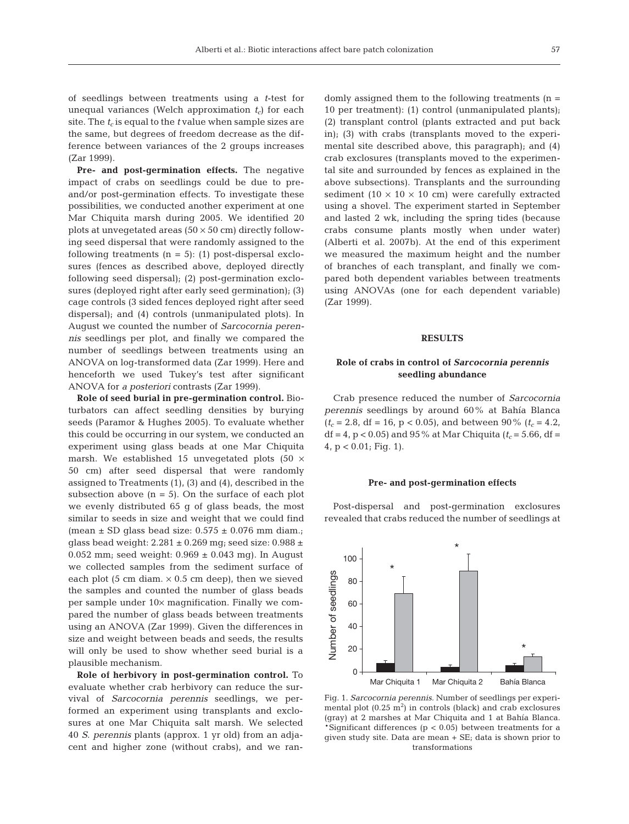of seedlings between treatments using a *t*-test for unequal variances (Welch approximation  $t_c$ ) for each site. The  $t_c$  is equal to the  $t$  value when sample sizes are the same, but degrees of freedom decrease as the difference between variances of the 2 groups increases (Zar 1999).

**Pre- and post-germination effects.** The negative impact of crabs on seedlings could be due to preand/or post-germination effects. To investigate these possibilities, we conducted another experiment at one Mar Chiquita marsh during 2005. We identified 20 plots at unvegetated areas  $(50 \times 50 \text{ cm})$  directly following seed dispersal that were randomly assigned to the following treatments  $(n = 5)$ : (1) post-dispersal exclosures (fences as described above, deployed directly following seed dispersal); (2) post-germination exclosures (deployed right after early seed germination); (3) cage controls (3 sided fences deployed right after seed dispersal); and (4) controls (unmanipulated plots). In August we counted the number of *Sarcocornia perennis* seedlings per plot, and finally we compared the number of seedlings between treatments using an ANOVA on log-transformed data (Zar 1999). Here and henceforth we used Tukey's test after significant ANOVA for *a posteriori* contrasts (Zar 1999).

**Role of seed burial in pre-germination control.** Bioturbators can affect seedling densities by burying seeds (Paramor & Hughes 2005). To evaluate whether this could be occurring in our system, we conducted an experiment using glass beads at one Mar Chiquita marsh. We established 15 unvegetated plots (50  $\times$ 50 cm) after seed dispersal that were randomly assigned to Treatments (1), (3) and (4), described in the subsection above  $(n = 5)$ . On the surface of each plot we evenly distributed 65 g of glass beads, the most similar to seeds in size and weight that we could find (mean  $\pm$  SD glass bead size: 0.575  $\pm$  0.076 mm diam.; glass bead weight:  $2.281 \pm 0.269$  mg; seed size:  $0.988 \pm$ 0.052 mm; seed weight:  $0.969 \pm 0.043$  mg). In August we collected samples from the sediment surface of each plot (5 cm diam.  $\times$  0.5 cm deep), then we sieved the samples and counted the number of glass beads per sample under 10× magnification. Finally we compared the number of glass beads between treatments using an ANOVA (Zar 1999). Given the differences in size and weight between beads and seeds, the results will only be used to show whether seed burial is a plausible mechanism.

**Role of herbivory in post-germination control.** To evaluate whether crab herbivory can reduce the survival of *Sarcocornia perennis* seedlings, we performed an experiment using transplants and exclosures at one Mar Chiquita salt marsh. We selected 40 *S*. *perennis* plants (approx. 1 yr old) from an adjacent and higher zone (without crabs), and we randomly assigned them to the following treatments  $(n =$ 10 per treatment): (1) control (unmanipulated plants); (2) transplant control (plants extracted and put back in); (3) with crabs (transplants moved to the experimental site described above, this paragraph); and (4) crab exclosures (transplants moved to the experimental site and surrounded by fences as explained in the above subsections). Transplants and the surrounding sediment ( $10 \times 10 \times 10$  cm) were carefully extracted using a shovel. The experiment started in September and lasted 2 wk, including the spring tides (because crabs consume plants mostly when under water) (Alberti et al. 2007b). At the end of this experiment we measured the maximum height and the number of branches of each transplant, and finally we compared both dependent variables between treatments using ANOVAs (one for each dependent variable) (Zar 1999).

#### **RESULTS**

# **Role of crabs in control of** *Sarcocornia perennis* **seedling abundance**

Crab presence reduced the number of *Sarcocornia perennis* seedlings by around 60% at Bahía Blanca  $(t_c = 2.8, df = 16, p < 0.05)$ , and between 90%  $(t_c = 4.2,$ df = 4, p < 0.05) and 95% at Mar Chiquita ( $t_c$  = 5.66, df = 4, p < 0.01; Fig. 1).

### **Pre- and post-germination effects**

Post-dispersal and post-germination exclosures revealed that crabs reduced the number of seedlings at



Fig. 1. *Sarcocornia perennis.* Number of seedlings per experimental plot  $(0.25 \text{ m}^2)$  in controls (black) and crab exclosures (gray) at 2 marshes at Mar Chiquita and 1 at Bahía Blanca. \*Significant differences ( $p < 0.05$ ) between treatments for a given study site. Data are mean + SE; data is shown prior to transformations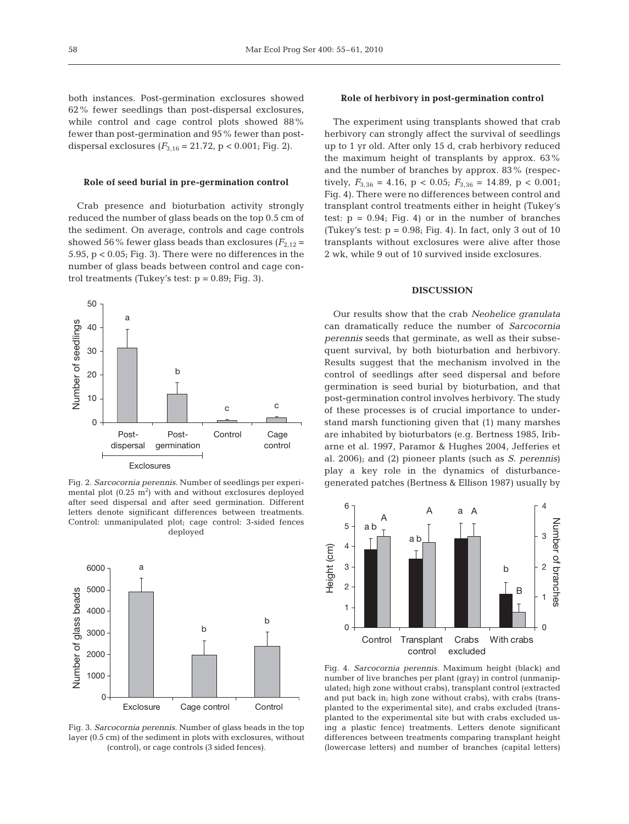both instances. Post-germination exclosures showed 62% fewer seedlings than post-dispersal exclosures, while control and cage control plots showed 88% fewer than post-germination and 95% fewer than postdispersal exclosures  $(F_{3,16} = 21.72, p < 0.001;$  Fig. 2).

#### **Role of seed burial in pre-germination control**

Crab presence and bioturbation activity strongly reduced the number of glass beads on the top 0.5 cm of the sediment. On average, controls and cage controls showed 56% fewer glass beads than exclosures  $(F_{2,12} =$ 5.95, p < 0.05; Fig. 3). There were no differences in the number of glass beads between control and cage control treatments (Tukey's test:  $p = 0.89$ ; Fig. 3).



Fig. 2. *Sarcocornia perennis.* Number of seedlings per experimental plot (0.25  $m^2$ ) with and without exclosures deployed after seed dispersal and after seed germination. Different letters denote significant differences between treatments. Control: unmanipulated plot; cage control: 3-sided fences deployed



Fig. 3. *Sarcocornia perennis.* Number of glass beads in the top layer (0.5 cm) of the sediment in plots with exclosures, without (control), or cage controls (3 sided fences).

## **Role of herbivory in post-germination control**

The experiment using transplants showed that crab herbivory can strongly affect the survival of seedlings up to 1 yr old. After only 15 d, crab herbivory reduced the maximum height of transplants by approx. 63% and the number of branches by approx. 83% (respectively,  $F_{3,36} = 4.16$ , p < 0.05;  $F_{3,36} = 14.89$ , p < 0.001; Fig. 4). There were no differences between control and transplant control treatments either in height (Tukey's test:  $p = 0.94$ ; Fig. 4) or in the number of branches (Tukey's test:  $p = 0.98$ ; Fig. 4). In fact, only 3 out of 10 transplants without exclosures were alive after those 2 wk, while 9 out of 10 survived inside exclosures.

#### **DISCUSSION**

Our results show that the crab *Neohelice granulata* can dramatically reduce the number of *Sarcocornia perennis* seeds that germinate, as well as their subsequent survival, by both bioturbation and herbivory. Results suggest that the mechanism involved in the control of seedlings after seed dispersal and before germination is seed burial by bioturbation, and that post-germination control involves herbivory. The study of these processes is of crucial importance to understand marsh functioning given that (1) many marshes are inhabited by bioturbators (e.g. Bertness 1985, Iribarne et al. 1997, Paramor & Hughes 2004, Jefferies et al. 2006); and (2) pioneer plants (such as *S*. *perennis*) play a key role in the dynamics of disturbancegenerated patches (Bertness & Ellison 1987) usually by



Fig. 4. *Sarcocornia perennis.* Maximum height (black) and number of live branches per plant (gray) in control (unmanipulated; high zone without crabs), transplant control (extracted and put back in; high zone without crabs), with crabs (transplanted to the experimental site), and crabs excluded (transplanted to the experimental site but with crabs excluded using a plastic fence) treatments. Letters denote significant differences between treatments comparing transplant height (lowercase letters) and number of branches (capital letters)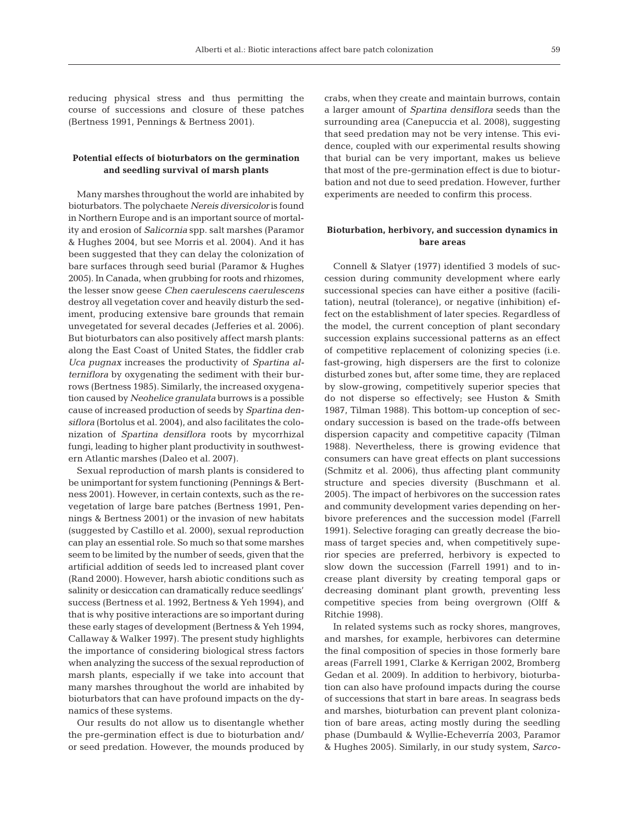reducing physical stress and thus permitting the course of successions and closure of these patches (Bertness 1991, Pennings & Bertness 2001).

## **Potential effects of bioturbators on the germination and seedling survival of marsh plants**

Many marshes throughout the world are inhabited by bioturbators. The polychaete *Nereis diversicolor* is found in Northern Europe and is an important source of mortality and erosion of *Salicornia* spp. salt marshes (Paramor & Hughes 2004, but see Morris et al. 2004). And it has been suggested that they can delay the colonization of bare surfaces through seed burial (Paramor & Hughes 2005). In Canada, when grubbing for roots and rhizomes, the lesser snow geese *Chen caerulescens caerulescens* destroy all vegetation cover and heavily disturb the sediment, producing extensive bare grounds that remain unvegetated for several decades (Jefferies et al. 2006). But bioturbators can also positively affect marsh plants: along the East Coast of United States, the fiddler crab *Uca pugnax* increases the productivity of *Spartina alterniflora* by oxygenating the sediment with their burrows (Bertness 1985). Similarly, the increased oxygenation caused by *Neohelice granulata* burrows is a possible cause of increased production of seeds by *Spartina densiflora* (Bortolus et al. 2004), and also facilitates the colonization of *Spartina densiflora* roots by mycorrhizal fungi, leading to higher plant productivity in southwestern Atlantic marshes (Daleo et al. 2007).

Sexual reproduction of marsh plants is considered to be unimportant for system functioning (Pennings & Bertness 2001). However, in certain contexts, such as the revegetation of large bare patches (Bertness 1991, Pennings & Bertness 2001) or the invasion of new habitats (suggested by Castillo et al. 2000), sexual reproduction can play an essential role. So much so that some marshes seem to be limited by the number of seeds, given that the artificial addition of seeds led to increased plant cover (Rand 2000). However, harsh abiotic conditions such as salinity or desiccation can dramatically reduce seedlings' success (Bertness et al. 1992, Bertness & Yeh 1994), and that is why positive interactions are so important during these early stages of development (Bertness & Yeh 1994, Callaway & Walker 1997). The present study highlights the importance of considering biological stress factors when analyzing the success of the sexual reproduction of marsh plants, especially if we take into account that many marshes throughout the world are inhabited by bioturbators that can have profound impacts on the dynamics of these systems.

Our results do not allow us to disentangle whether the pre-germination effect is due to bioturbation and/ or seed predation. However, the mounds produced by crabs, when they create and maintain burrows, contain a larger amount of *Spartina densiflora* seeds than the surrounding area (Canepuccia et al. 2008), suggesting that seed predation may not be very intense. This evidence, coupled with our experimental results showing that burial can be very important, makes us believe that most of the pre-germination effect is due to bioturbation and not due to seed predation. However, further experiments are needed to confirm this process.

# **Bioturbation, herbivory, and succession dynamics in bare areas**

Connell & Slatyer (1977) identified 3 models of succession during community development where early successional species can have either a positive (facilitation), neutral (tolerance), or negative (inhibition) effect on the establishment of later species. Regardless of the model, the current conception of plant secondary succession explains successional patterns as an effect of competitive replacement of colonizing species (i.e. fast-growing, high dispersers are the first to colonize disturbed zones but, after some time, they are replaced by slow-growing, competitively superior species that do not disperse so effectively; see Huston & Smith 1987, Tilman 1988). This bottom-up conception of secondary succession is based on the trade-offs between dispersion capacity and competitive capacity (Tilman 1988). Nevertheless, there is growing evidence that consumers can have great effects on plant successions (Schmitz et al. 2006), thus affecting plant community structure and species diversity (Buschmann et al. 2005). The impact of herbivores on the succession rates and community development varies depending on herbivore preferences and the succession model (Farrell 1991). Selective foraging can greatly decrease the biomass of target species and, when competitively superior species are preferred, herbivory is expected to slow down the succession (Farrell 1991) and to increase plant diversity by creating temporal gaps or decreasing dominant plant growth, preventing less competitive species from being overgrown (Olff & Ritchie 1998).

In related systems such as rocky shores, mangroves, and marshes, for example, herbivores can determine the final composition of species in those formerly bare areas (Farrell 1991, Clarke & Kerrigan 2002, Bromberg Gedan et al. 2009). In addition to herbivory, bioturbation can also have profound impacts during the course of successions that start in bare areas. In seagrass beds and marshes, bioturbation can prevent plant colonization of bare areas, acting mostly during the seedling phase (Dumbauld & Wyllie-Echeverría 2003, Paramor & Hughes 2005). Similarly, in our study system, *Sarco-*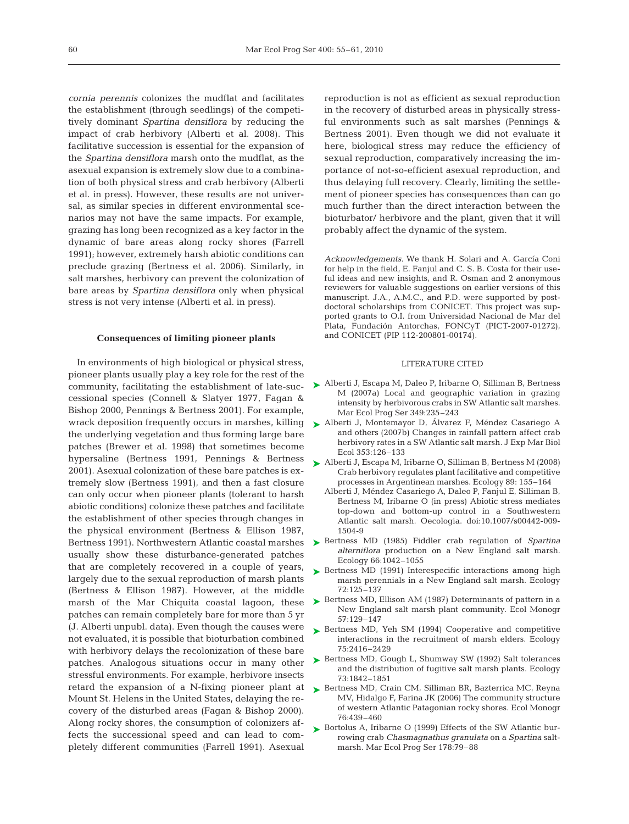*cornia perennis* colonizes the mudflat and facilitates the establishment (through seedlings) of the competitively dominant *Spartina densiflora* by reducing the impact of crab herbivory (Alberti et al. 2008). This facilitative succession is essential for the expansion of the *Spartina densiflora* marsh onto the mudflat, as the asexual expansion is extremely slow due to a combination of both physical stress and crab herbivory (Alberti et al. in press). However, these results are not universal, as similar species in different environmental scenarios may not have the same impacts. For example, grazing has long been recognized as a key factor in the dynamic of bare areas along rocky shores (Farrell 1991); however, extremely harsh abiotic conditions can preclude grazing (Bertness et al. 2006). Similarly, in salt marshes, herbivory can prevent the colonization of bare areas by *Spartina densiflora* only when physical stress is not very intense (Alberti et al. in press).

#### **Consequences of limiting pioneer plants**

In environments of high biological or physical stress, pioneer plants usually play a key role for the rest of the community, facilitating the establishment of late-successional species (Connell & Slatyer 1977, Fagan & Bishop 2000, Pennings & Bertness 2001). For example, wrack deposition frequently occurs in marshes, killing Alberti J, Montemayor D, Álvarez F, Méndez Casariego A ➤ the underlying vegetation and thus forming large bare patches (Brewer et al. 1998) that sometimes become hypersaline (Bertness 1991, Pennings & Bertness 2001). Asexual colonization of these bare patches is extremely slow (Bertness 1991), and then a fast closure can only occur when pioneer plants (tolerant to harsh abiotic conditions) colonize these patches and facilitate the establishment of other species through changes in the physical environment (Bertness & Ellison 1987, usually show these disturbance-generated patches that are completely recovered in a couple of years, largely due to the sexual reproduction of marsh plants (Bertness & Ellison 1987). However, at the middle marsh of the Mar Chiquita coastal lagoon, these patches can remain completely bare for more than 5 yr (J. Alberti unpubl. data). Even though the causes were not evaluated, it is possible that bioturbation combined with herbivory delays the recolonization of these bare patches. Analogous situations occur in many other stressful environments. For example, herbivore insects retard the expansion of a N-fixing pioneer plant at Mount St. Helens in the United States, delaying the recovery of the disturbed areas (Fagan & Bishop 2000). Along rocky shores, the consumption of colonizers affects the successional speed and can lead to completely different communities (Farrell 1991). Asexual

reproduction is not as efficient as sexual reproduction in the recovery of disturbed areas in physically stressful environments such as salt marshes (Pennings & Bertness 2001). Even though we did not evaluate it here, biological stress may reduce the efficiency of sexual reproduction, comparatively increasing the importance of not-so-efficient asexual reproduction, and thus delaying full recovery. Clearly, limiting the settlement of pioneer species has consequences than can go much further than the direct interaction between the bioturbator/ herbivore and the plant, given that it will probably affect the dynamic of the system.

*Acknowledgements.* We thank H. Solari and A. García Coni for help in the field, E. Fanjul and C. S. B. Costa for their useful ideas and new insights, and R. Osman and 2 anonymous reviewers for valuable suggestions on earlier versions of this manuscript. J.A., A.M.C., and P.D. were supported by postdoctoral scholarships from CONICET. This project was supported grants to O.I. from Universidad Nacional de Mar del Plata, Fundación Antorchas, FONCyT (PICT-2007-01272), and CONICET (PIP 112-200801-00174).

#### LITERATURE CITED

- ► Alberti J, Escapa M, Daleo P, Iribarne O, Silliman B, Bertness M (2007a) Local and geographic variation in grazing intensity by herbivorous crabs in SW Atlantic salt marshes. Mar Ecol Prog Ser 349:235–243
- and others (2007b) Changes in rainfall pattern affect crab herbivory rates in a SW Atlantic salt marsh. J Exp Mar Biol Ecol 353:126–133
- Alberti J, Escapa M, Iribarne O, Silliman B, Bertness M (2008) ➤ Crab herbivory regulates plant facilitative and competitive processes in Argentinean marshes. Ecology 89: 155–164
	- Alberti J, Méndez Casariego A, Daleo P, Fanjul E, Silliman B, Bertness M, Iribarne O (in press) Abiotic stress mediates top-down and bottom-up control in a Southwestern Atlantic salt marsh. Oecologia. doi:10.1007/s00442-009- 1504-9
- Bertness 1991). Northwestern Atlantic coastal marshes Bertness MD (1985) Fiddler crab regulation of *Spartina* ➤ *alterniflora* production on a New England salt marsh. Ecology 66:1042–1055
	- ▶ Bertness MD (1991) Interespecific interactions among high marsh perennials in a New England salt marsh. Ecology 72:125–137
	- ▶ Bertness MD, Ellison AM (1987) Determinants of pattern in a New England salt marsh plant community. Ecol Monogr 57:129–147
	- ▶ Bertness MD, Yeh SM (1994) Cooperative and competitive interactions in the recruitment of marsh elders. Ecology 75:2416–2429
	- ► Bertness MD, Gough L, Shumway SW (1992) Salt tolerances and the distribution of fugitive salt marsh plants. Ecology 73:1842–1851
	- ► Bertness MD, Crain CM, Silliman BR, Bazterrica MC, Reyna MV, Hidalgo F, Farina JK (2006) The community structure of western Atlantic Patagonian rocky shores. Ecol Monogr 76:439–460
	- ▶ Bortolus A, Iribarne O (1999) Effects of the SW Atlantic burrowing crab *Chasmagnathus granulata* on a *Spartina* saltmarsh. Mar Ecol Prog Ser 178:79–88